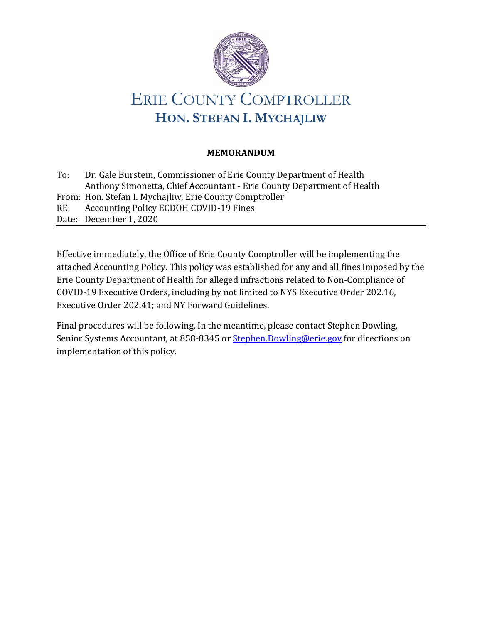

## **MEMORANDUM**

To: Dr. Gale Burstein, Commissioner of Erie County Department of Health Anthony Simonetta, Chief Accountant - Erie County Department of Health From: Hon. Stefan I. Mychajliw, Erie County Comptroller RE: Accounting Policy ECDOH COVID-19 Fines Date: December 1, 2020

Effective immediately, the Office of Erie County Comptroller will be implementing the attached Accounting Policy. This policy was established for any and all fines imposed by the Erie County Department of Health for alleged infractions related to Non-Compliance of COVID-19 Executive Orders, including by not limited to NYS Executive Order 202.16, Executive Order 202.41; and NY Forward Guidelines.

Final procedures will be following. In the meantime, please contact Stephen Dowling, Senior Systems Accountant, at 858-8345 or [Stephen.Dowling@erie.gov](mailto:Stephen.Dowling@erie.gov) for directions on implementation of this policy.